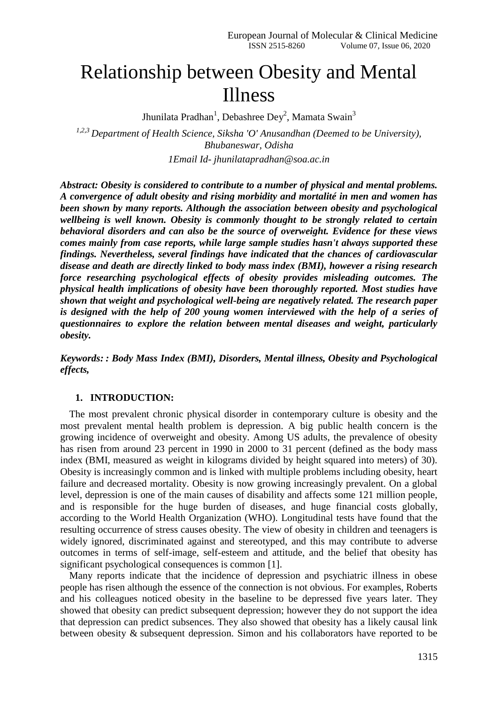# Relationship between Obesity and Mental Illness

Jhunilata Pradhan<sup>1</sup>, Debashree Dey<sup>2</sup>, Mamata Swain<sup>3</sup>

*1,2,3 Department of Health Science, Siksha 'O' Anusandhan (Deemed to be University), Bhubaneswar, Odisha 1Email Id- jhunilatapradhan@soa.ac.in*

*Abstract: Obesity is considered to contribute to a number of physical and mental problems. A convergence of adult obesity and rising morbidity and mortalité in men and women has been shown by many reports. Although the association between obesity and psychological wellbeing is well known. Obesity is commonly thought to be strongly related to certain behavioral disorders and can also be the source of overweight. Evidence for these views comes mainly from case reports, while large sample studies hasn't always supported these findings. Nevertheless, several findings have indicated that the chances of cardiovascular disease and death are directly linked to body mass index (BMI), however a rising research force researching psychological effects of obesity provides misleading outcomes. The physical health implications of obesity have been thoroughly reported. Most studies have shown that weight and psychological well-being are negatively related. The research paper is designed with the help of 200 young women interviewed with the help of a series of questionnaires to explore the relation between mental diseases and weight, particularly obesity.*

*Keywords: : Body Mass Index (BMI), Disorders, Mental illness, Obesity and Psychological effects,*

### **1. INTRODUCTION:**

The most prevalent chronic physical disorder in contemporary culture is obesity and the most prevalent mental health problem is depression. A big public health concern is the growing incidence of overweight and obesity. Among US adults, the prevalence of obesity has risen from around 23 percent in 1990 in 2000 to 31 percent (defined as the body mass index (BMI, measured as weight in kilograms divided by height squared into meters) of 30). Obesity is increasingly common and is linked with multiple problems including obesity, heart failure and decreased mortality. Obesity is now growing increasingly prevalent. On a global level, depression is one of the main causes of disability and affects some 121 million people, and is responsible for the huge burden of diseases, and huge financial costs globally, according to the World Health Organization (WHO). Longitudinal tests have found that the resulting occurrence of stress causes obesity. The view of obesity in children and teenagers is widely ignored, discriminated against and stereotyped, and this may contribute to adverse outcomes in terms of self-image, self-esteem and attitude, and the belief that obesity has significant psychological consequences is common [1].

Many reports indicate that the incidence of depression and psychiatric illness in obese people has risen although the essence of the connection is not obvious. For examples, Roberts and his colleagues noticed obesity in the baseline to be depressed five years later. They showed that obesity can predict subsequent depression; however they do not support the idea that depression can predict subsences. They also showed that obesity has a likely causal link between obesity & subsequent depression. Simon and his collaborators have reported to be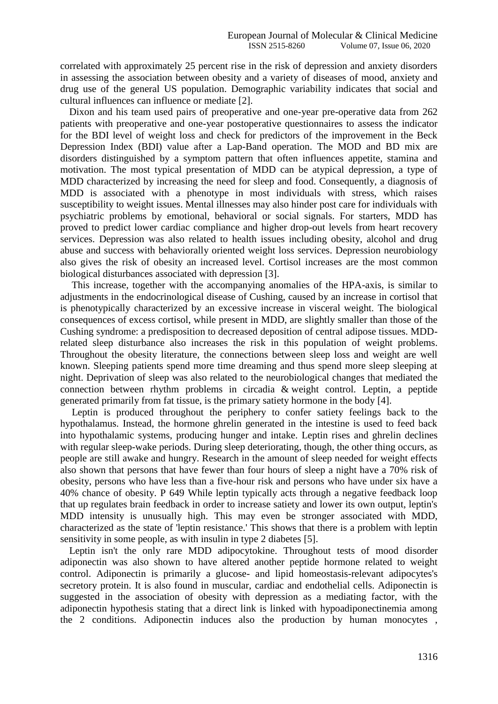correlated with approximately 25 percent rise in the risk of depression and anxiety disorders in assessing the association between obesity and a variety of diseases of mood, anxiety and drug use of the general US population. Demographic variability indicates that social and cultural influences can influence or mediate [2].

Dixon and his team used pairs of preoperative and one-year pre-operative data from 262 patients with preoperative and one-year postoperative questionnaires to assess the indicator for the BDI level of weight loss and check for predictors of the improvement in the Beck Depression Index (BDI) value after a Lap-Band operation. The MOD and BD mix are disorders distinguished by a symptom pattern that often influences appetite, stamina and motivation. The most typical presentation of MDD can be atypical depression, a type of MDD characterized by increasing the need for sleep and food. Consequently, a diagnosis of MDD is associated with a phenotype in most individuals with stress, which raises susceptibility to weight issues. Mental illnesses may also hinder post care for individuals with psychiatric problems by emotional, behavioral or social signals. For starters, MDD has proved to predict lower cardiac compliance and higher drop-out levels from heart recovery services. Depression was also related to health issues including obesity, alcohol and drug abuse and success with behaviorally oriented weight loss services. Depression neurobiology also gives the risk of obesity an increased level. Cortisol increases are the most common biological disturbances associated with depression [3].

This increase, together with the accompanying anomalies of the HPA-axis, is similar to adjustments in the endocrinological disease of Cushing, caused by an increase in cortisol that is phenotypically characterized by an excessive increase in visceral weight. The biological consequences of excess cortisol, while present in MDD, are slightly smaller than those of the Cushing syndrome: a predisposition to decreased deposition of central adipose tissues. MDDrelated sleep disturbance also increases the risk in this population of weight problems. Throughout the obesity literature, the connections between sleep loss and weight are well known. Sleeping patients spend more time dreaming and thus spend more sleep sleeping at night. Deprivation of sleep was also related to the neurobiological changes that mediated the connection between rhythm problems in circadia & weight control. Leptin, a peptide generated primarily from fat tissue, is the primary satiety hormone in the body [4].

Leptin is produced throughout the periphery to confer satiety feelings back to the hypothalamus. Instead, the hormone ghrelin generated in the intestine is used to feed back into hypothalamic systems, producing hunger and intake. Leptin rises and ghrelin declines with regular sleep-wake periods. During sleep deteriorating, though, the other thing occurs, as people are still awake and hungry. Research in the amount of sleep needed for weight effects also shown that persons that have fewer than four hours of sleep a night have a 70% risk of obesity, persons who have less than a five-hour risk and persons who have under six have a 40% chance of obesity. P 649 While leptin typically acts through a negative feedback loop that up regulates brain feedback in order to increase satiety and lower its own output, leptin's MDD intensity is unusually high. This may even be stronger associated with MDD, characterized as the state of 'leptin resistance.' This shows that there is a problem with leptin sensitivity in some people, as with insulin in type 2 diabetes [5].

Leptin isn't the only rare MDD adipocytokine. Throughout tests of mood disorder adiponectin was also shown to have altered another peptide hormone related to weight control. Adiponectin is primarily a glucose- and lipid homeostasis-relevant adipocytes's secretory protein. It is also found in muscular, cardiac and endothelial cells. Adiponectin is suggested in the association of obesity with depression as a mediating factor, with the adiponectin hypothesis stating that a direct link is linked with hypoadiponectinemia among the 2 conditions. Adiponectin induces also the production by human monocytes ,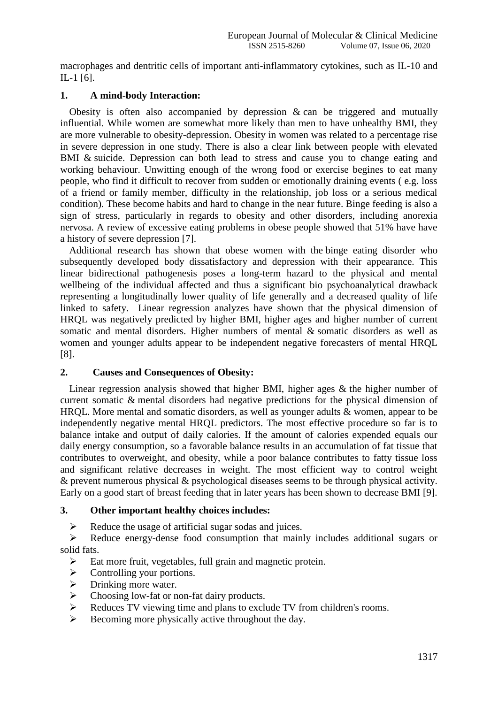macrophages and dentritic cells of important anti-inflammatory cytokines, such as IL-10 and IL-1 [6].

## **1. A mind-body Interaction:**

Obesity is often also accompanied by depression & can be triggered and mutually influential. While women are somewhat more likely than men to have unhealthy BMI, they are more vulnerable to obesity-depression. Obesity in women was related to a percentage rise in severe depression in one study. There is also a clear link between people with elevated BMI & suicide. Depression can both lead to stress and cause you to change eating and working behaviour. Unwitting enough of the wrong food or exercise begines to eat many people, who find it difficult to recover from sudden or emotionally draining events ( e.g. loss of a friend or family member, difficulty in the relationship, job loss or a serious medical condition). These become habits and hard to change in the near future. Binge feeding is also a sign of stress, particularly in regards to obesity and other disorders, including anorexia nervosa. A review of excessive eating problems in obese people showed that 51% have have a history of severe depression [7].

Additional research has shown that obese women with the binge eating disorder who subsequently developed body dissatisfactory and depression with their appearance. This linear bidirectional pathogenesis poses a long-term hazard to the physical and mental wellbeing of the individual affected and thus a significant bio psychoanalytical drawback representing a longitudinally lower quality of life generally and a decreased quality of life linked to safety. Linear regression analyzes have shown that the physical dimension of HRQL was negatively predicted by higher BMI, higher ages and higher number of current somatic and mental disorders. Higher numbers of mental & somatic disorders as well as women and younger adults appear to be independent negative forecasters of mental HRQL [8].

## **2. Causes and Consequences of Obesity:**

Linear regression analysis showed that higher BMI, higher ages & the higher number of current somatic & mental disorders had negative predictions for the physical dimension of HRQL. More mental and somatic disorders, as well as younger adults & women, appear to be independently negative mental HRQL predictors. The most effective procedure so far is to balance intake and output of daily calories. If the amount of calories expended equals our daily energy consumption, so a favorable balance results in an accumulation of fat tissue that contributes to overweight, and obesity, while a poor balance contributes to fatty tissue loss and significant relative decreases in weight. The most efficient way to control weight & prevent numerous physical & psychological diseases seems to be through physical activity. Early on a good start of breast feeding that in later years has been shown to decrease BMI [9].

## **3. Other important healthy choices includes:**

 $\triangleright$  Reduce the usage of artificial sugar sodas and juices.

 $\triangleright$  Reduce energy-dense food consumption that mainly includes additional sugars or solid fats.

- $\triangleright$  Eat more fruit, vegetables, full grain and magnetic protein.
- $\triangleright$  Controlling your portions.
- $\triangleright$  Drinking more water.
- $\triangleright$  Choosing low-fat or non-fat dairy products.
- Reduces TV viewing time and plans to exclude TV from children's rooms.
- $\triangleright$  Becoming more physically active throughout the day.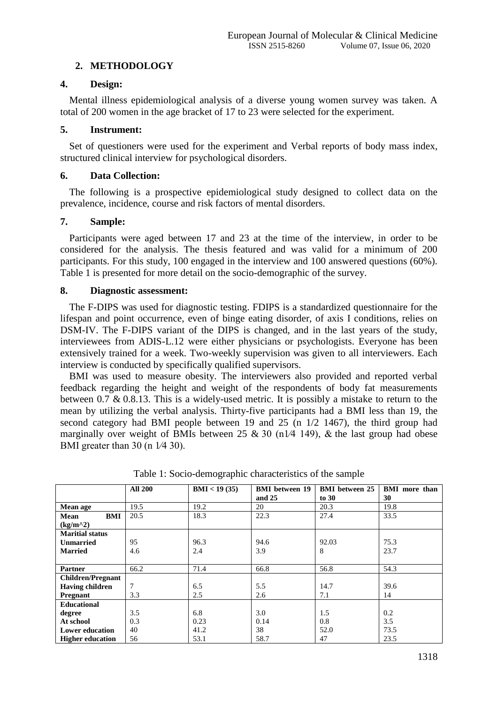# **2. METHODOLOGY**

## **4. Design:**

Mental illness epidemiological analysis of a diverse young women survey was taken. A total of 200 women in the age bracket of 17 to 23 were selected for the experiment.

# **5. Instrument:**

Set of questioners were used for the experiment and Verbal reports of body mass index, structured clinical interview for psychological disorders.

# **6. Data Collection:**

The following is a prospective epidemiological study designed to collect data on the prevalence, incidence, course and risk factors of mental disorders.

# **7. Sample:**

Participants were aged between 17 and 23 at the time of the interview, in order to be considered for the analysis. The thesis featured and was valid for a minimum of 200 participants. For this study, 100 engaged in the interview and 100 answered questions (60%). Table 1 is presented for more detail on the socio-demographic of the survey.

# **8. Diagnostic assessment:**

The F-DIPS was used for diagnostic testing. FDIPS is a standardized questionnaire for the lifespan and point occurrence, even of binge eating disorder, of axis I conditions, relies on DSM-IV. The F-DIPS variant of the DIPS is changed, and in the last years of the study, interviewees from ADIS-L.12 were either physicians or psychologists. Everyone has been extensively trained for a week. Two-weekly supervision was given to all interviewers. Each interview is conducted by specifically qualified supervisors.

BMI was used to measure obesity. The interviewers also provided and reported verbal feedback regarding the height and weight of the respondents of body fat measurements between 0.7 & 0.8.13. This is a widely-used metric. It is possibly a mistake to return to the mean by utilizing the verbal analysis. Thirty-five participants had a BMI less than 19, the second category had BMI people between 19 and 25 (n 1/2 1467), the third group had marginally over weight of BMIs between  $25 \& 30 \text{ (n1/4 149)}$ , & the last group had obese BMI greater than 30 (n 1/4 30).

|                          | <b>All 200</b> | BMI < 19(35) | <b>BMI</b> between 19 | <b>BMI</b> between 25 | <b>BMI</b> more than |
|--------------------------|----------------|--------------|-----------------------|-----------------------|----------------------|
|                          |                |              | and 25                | to 30                 | 30                   |
| Mean age                 | 19.5           | 19.2         | 20                    | 20.3                  | 19.8                 |
| BMI<br>Mean              | 20.5           | 18.3         | 22.3                  | 27.4                  | 33.5                 |
| $(kg/m^2)$               |                |              |                       |                       |                      |
| <b>Maritial status</b>   |                |              |                       |                       |                      |
| <b>Unmarried</b>         | 95             | 96.3         | 94.6                  | 92.03                 | 75.3                 |
| <b>Married</b>           | 4.6            | 2.4          | 3.9                   | 8                     | 23.7                 |
|                          |                |              |                       |                       |                      |
| <b>Partner</b>           | 66.2           | 71.4         | 66.8                  | 56.8                  | 54.3                 |
| <b>Children/Pregnant</b> |                |              |                       |                       |                      |
| <b>Having children</b>   | 7              | 6.5          | 5.5                   | 14.7                  | 39.6                 |
| Pregnant                 | 3.3            | 2.5          | 2.6                   | 7.1                   | 14                   |
| <b>Educational</b>       |                |              |                       |                       |                      |
| degree                   | 3.5            | 6.8          | 3.0                   | 1.5                   | 0.2                  |
| At school                | 0.3            | 0.23         | 0.14                  | 0.8                   | 3.5                  |
| <b>Lower education</b>   | 40             | 41.2         | 38                    | 52.0                  | 73.5                 |
| <b>Higher education</b>  | 56             | 53.1         | 58.7                  | 47                    | 23.5                 |

Table 1: Socio-demographic characteristics of the sample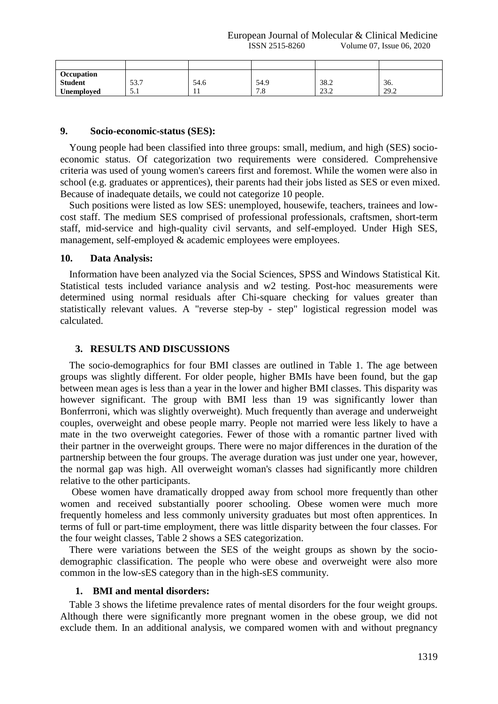European Journal of Molecular & Clinical Medicine ISSN 2515-8260 Volume 07, Issue 06, 2020

| Occupation        |             |      |           |                       |      |
|-------------------|-------------|------|-----------|-----------------------|------|
| <b>Student</b>    | 537<br>JJ.I | 54.6 | 54.9      | 38.2                  | 36.  |
| <b>Unemployed</b> | $J \cdot I$ | -1-1 | 70<br>۰.٥ | $\cap$ $\cap$<br>23.Z | 29.2 |

#### **9. Socio-economic-status (SES):**

Young people had been classified into three groups: small, medium, and high (SES) socioeconomic status. Of categorization two requirements were considered. Comprehensive criteria was used of young women's careers first and foremost. While the women were also in school (e.g. graduates or apprentices), their parents had their jobs listed as SES or even mixed. Because of inadequate details, we could not categorize 10 people.

Such positions were listed as low SES: unemployed, housewife, teachers, trainees and lowcost staff. The medium SES comprised of professional professionals, craftsmen, short-term staff, mid-service and high-quality civil servants, and self-employed. Under High SES, management, self-employed & academic employees were employees.

#### **10. Data Analysis:**

Information have been analyzed via the Social Sciences, SPSS and Windows Statistical Kit. Statistical tests included variance analysis and w2 testing. Post-hoc measurements were determined using normal residuals after Chi-square checking for values greater than statistically relevant values. A "reverse step-by - step" logistical regression model was calculated.

#### **3. RESULTS AND DISCUSSIONS**

The socio-demographics for four BMI classes are outlined in Table 1. The age between groups was slightly different. For older people, higher BMIs have been found, but the gap between mean ages is less than a year in the lower and higher BMI classes. This disparity was however significant. The group with BMI less than 19 was significantly lower than Bonferrroni, which was slightly overweight). Much frequently than average and underweight couples, overweight and obese people marry. People not married were less likely to have a mate in the two overweight categories. Fewer of those with a romantic partner lived with their partner in the overweight groups. There were no major differences in the duration of the partnership between the four groups. The average duration was just under one year, however, the normal gap was high. All overweight woman's classes had significantly more children relative to the other participants.

Obese women have dramatically dropped away from school more frequently than other women and received substantially poorer schooling. Obese women were much more frequently homeless and less commonly university graduates but most often apprentices. In terms of full or part-time employment, there was little disparity between the four classes. For the four weight classes, Table 2 shows a SES categorization.

There were variations between the SES of the weight groups as shown by the sociodemographic classification. The people who were obese and overweight were also more common in the low-sES category than in the high-sES community.

#### **1. BMI and mental disorders:**

Table 3 shows the lifetime prevalence rates of mental disorders for the four weight groups. Although there were significantly more pregnant women in the obese group, we did not exclude them. In an additional analysis, we compared women with and without pregnancy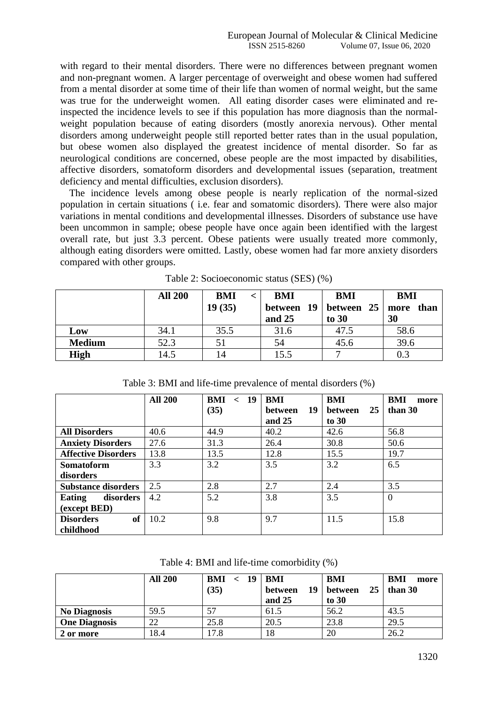with regard to their mental disorders. There were no differences between pregnant women and non-pregnant women. A larger percentage of overweight and obese women had suffered from a mental disorder at some time of their life than women of normal weight, but the same was true for the underweight women. All eating disorder cases were eliminated and reinspected the incidence levels to see if this population has more diagnosis than the normalweight population because of eating disorders (mostly anorexia nervous). Other mental disorders among underweight people still reported better rates than in the usual population, but obese women also displayed the greatest incidence of mental disorder. So far as neurological conditions are concerned, obese people are the most impacted by disabilities, affective disorders, somatoform disorders and developmental issues (separation, treatment deficiency and mental difficulties, exclusion disorders).

The incidence levels among obese people is nearly replication of the normal-sized population in certain situations ( i.e. fear and somatomic disorders). There were also major variations in mental conditions and developmental illnesses. Disorders of substance use have been uncommon in sample; obese people have once again been identified with the largest overall rate, but just 3.3 percent. Obese patients were usually treated more commonly, although eating disorders were omitted. Lastly, obese women had far more anxiety disorders compared with other groups.

|               | <b>All 200</b> | <b>BMI</b><br>19(35) | BMI<br>and 25 | <b>BMI</b><br>between $19$ between $25 \mid$ more<br>to 30 | <b>BMI</b><br>than<br>30 |
|---------------|----------------|----------------------|---------------|------------------------------------------------------------|--------------------------|
| Low           | 34.1           | 35.5                 | 31.6          | 47.5                                                       | 58.6                     |
| <b>Medium</b> | 52.3           |                      | 54            | 45.6                                                       | 39.6                     |
| <b>High</b>   | 14.5           | 14                   | 15.5          | −                                                          |                          |

Table 2: Socioeconomic status (SES) (%)

|                            | <b>All 200</b> | BMI<br>- 19<br>$\lt$ | BMI                  | BMI                  | <b>BMI</b><br>more |
|----------------------------|----------------|----------------------|----------------------|----------------------|--------------------|
|                            |                | (35)                 | 19<br><b>between</b> | 25<br><b>between</b> | than 30            |
|                            |                |                      | and $25$             | to $30$              |                    |
| <b>All Disorders</b>       | 40.6           | 44.9                 | 40.2                 | 42.6                 | 56.8               |
| <b>Anxiety Disorders</b>   | 27.6           | 31.3                 | 26.4                 | 30.8                 | 50.6               |
| <b>Affective Disorders</b> | 13.8           | 13.5                 | 12.8                 | 15.5                 | 19.7               |
| <b>Somatoform</b>          | 3.3            | 3.2                  | 3.5                  | 3.2                  | 6.5                |
| disorders                  |                |                      |                      |                      |                    |
| <b>Substance disorders</b> | 2.5            | 2.8                  | 2.7                  | 2.4                  | 3.5                |
| disorders<br>Eating        | 4.2            | 5.2                  | 3.8                  | 3.5                  | $\Omega$           |
| (except BED)               |                |                      |                      |                      |                    |
| of<br><b>Disorders</b>     | 10.2           | 9.8                  | 9.7                  | 11.5                 | 15.8               |
| childhood                  |                |                      |                      |                      |                    |

Table 3: BMI and life-time prevalence of mental disorders (%)

Table 4: BMI and life-time comorbidity (%)

|                      | <b>All 200</b> | BMI<br>- 19<br>$\epsilon$<br>(35) | BMI<br>19<br>between<br>and $25$ | BMI<br>25<br>between<br>to $30$ | BMI<br>more<br>than 30 |
|----------------------|----------------|-----------------------------------|----------------------------------|---------------------------------|------------------------|
| <b>No Diagnosis</b>  | 59.5           | 57                                | 61.5                             | 56.2                            | 43.5                   |
| <b>One Diagnosis</b> | 22             | 25.8                              | 20.5                             | 23.8                            | 29.5                   |
| 2 or more            | 18.4           | l7.8                              | 18                               | 20                              | 26.2                   |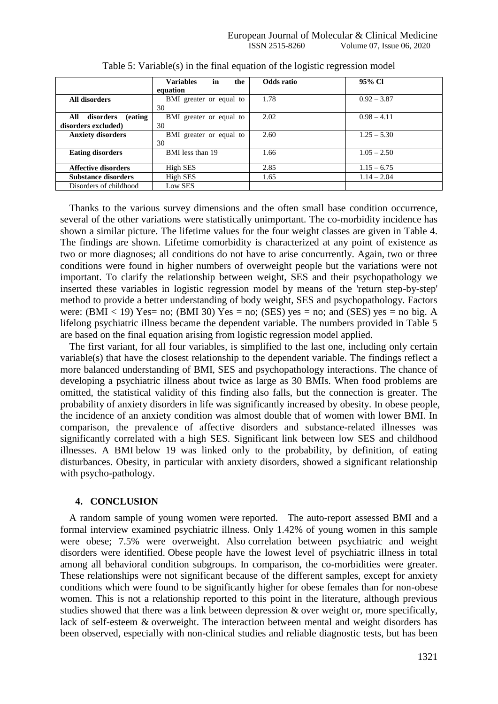|                                     | in<br><b>Variables</b><br>the | Odds ratio | 95% CI        |
|-------------------------------------|-------------------------------|------------|---------------|
|                                     | equation                      |            |               |
| All disorders                       | BMI greater or equal to       | 1.78       | $0.92 - 3.87$ |
|                                     | 30                            |            |               |
| <i>(eating)</i><br>disorders<br>All | BMI greater or equal to       | 2.02       | $0.98 - 4.11$ |
| disorders excluded)                 | 30                            |            |               |
| <b>Anxiety disorders</b>            | BMI greater or equal to       | 2.60       | $1.25 - 5.30$ |
|                                     | 30                            |            |               |
| <b>Eating disorders</b>             | BMI less than 19              | 1.66       | $1.05 - 2.50$ |
|                                     |                               |            |               |
| <b>Affective disorders</b>          | High SES                      | 2.85       | $1.15 - 6.75$ |
| <b>Substance disorders</b>          | High SES                      | 1.65       | $1.14 - 2.04$ |
| Disorders of childhood              | Low SES                       |            |               |

Table 5: Variable(s) in the final equation of the logistic regression model

Thanks to the various survey dimensions and the often small base condition occurrence, several of the other variations were statistically unimportant. The co-morbidity incidence has shown a similar picture. The lifetime values for the four weight classes are given in Table 4. The findings are shown. Lifetime comorbidity is characterized at any point of existence as two or more diagnoses; all conditions do not have to arise concurrently. Again, two or three conditions were found in higher numbers of overweight people but the variations were not important. To clarify the relationship between weight, SES and their psychopathology we inserted these variables in logistic regression model by means of the 'return step-by-step' method to provide a better understanding of body weight, SES and psychopathology. Factors were:  $(BMI < 19)$  Yes= no;  $(BMI 30)$  Yes = no;  $(SES)$  yes = no; and  $(SES)$  yes = no big. A lifelong psychiatric illness became the dependent variable. The numbers provided in Table 5 are based on the final equation arising from logistic regression model applied.

The first variant, for all four variables, is simplified to the last one, including only certain variable(s) that have the closest relationship to the dependent variable. The findings reflect a more balanced understanding of BMI, SES and psychopathology interactions. The chance of developing a psychiatric illness about twice as large as 30 BMIs. When food problems are omitted, the statistical validity of this finding also falls, but the connection is greater. The probability of anxiety disorders in life was significantly increased by obesity. In obese people, the incidence of an anxiety condition was almost double that of women with lower BMI. In comparison, the prevalence of affective disorders and substance-related illnesses was significantly correlated with a high SES. Significant link between low SES and childhood illnesses. A BMI below 19 was linked only to the probability, by definition, of eating disturbances. Obesity, in particular with anxiety disorders, showed a significant relationship with psycho-pathology.

## **4. CONCLUSION**

A random sample of young women were reported. The auto-report assessed BMI and a formal interview examined psychiatric illness. Only 1.42% of young women in this sample were obese; 7.5% were overweight. Also correlation between psychiatric and weight disorders were identified. Obese people have the lowest level of psychiatric illness in total among all behavioral condition subgroups. In comparison, the co-morbidities were greater. These relationships were not significant because of the different samples, except for anxiety conditions which were found to be significantly higher for obese females than for non-obese women. This is not a relationship reported to this point in the literature, although previous studies showed that there was a link between depression & over weight or, more specifically, lack of self-esteem & overweight. The interaction between mental and weight disorders has been observed, especially with non-clinical studies and reliable diagnostic tests, but has been